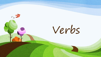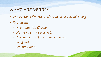## WHAT ARE VERBS?

- Verbs describe an action or a state of being.
- Example:
	- Mark eats his dinner.
	- We went to the market.
	- You <u>write</u> neatly in your notebook.
	- He is sad.
	- We <u>are</u> happy.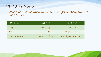## **VERB TENSES**

• Verb tenses tell us when an action takes place. There are three basic tenses:

| Present tense            | Past tense                  | Future tense            |
|--------------------------|-----------------------------|-------------------------|
| Today                    | Yesterday                   | Tomorrow                |
| Verb                     | $Verb + ed$                 | Will/shall + Verb       |
| I <u>paint</u> a picture | I paint <u>ed</u> a picture | I shall paint a picture |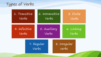

| 1. Transitive<br>Verbs | 2. Intransitive<br>Verbs | 3. Finite<br>Verbs    |  |
|------------------------|--------------------------|-----------------------|--|
| 4. Infinitive<br>Verbs | 5. Auxiliary<br>Verbs    | 6. Linking<br>Verbs   |  |
|                        | 7. Regular<br>Verbs      | 8. Irregular<br>verbs |  |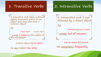# 1. Transitive Verbs 2. Intransitive Verbs

A transitive verb takes a direct object (transmit action to an object and may also have a indirect object:

Eg.

Direct object Indirect object I wrote a letter to the editor of the newspaper

indirect object/direct object

He sent Robert the letter

A intransitive verb is not  $\frac{1}{6}$ followed by a direct object

Eg.

adverbial phrase of reason

I wrote out of concern

Not an object but adverb He complains frequently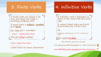A finite verb can stand o its own and does not need a auxiliary (helping verb. It must have a **subject, number** and **tense.** Eg. (one girl = number) Subject simple present tense The girl plays netball The infinitive should not be split A infinitive verb is preceded (in front of the verb) with the word "to" It cannot stand alone and mist be preceded by a finite verb. Eg. Infinitive verb because of "to" in front of verb She wants to play 3. Finite Verbs 4. Infinitive Verbs

Subject simple future tense I shall drive to town tomorrow

I am going to definitely drive to town tomorrow

I am definitely going to drive to town tomorrow √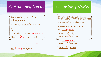# 5. Auxiliary Verbs 6. Linking Verbs

An Auxiliary verb is a helping verb

It always precedes a verb

Eg.

Auxiliary /Finite verb - simple past tense She has done her work

Auxiliary / verb – present continues tense

I am eating an apple

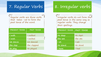|  | 7. Regular Verbs |
|--|------------------|
|  |                  |
|  |                  |
|  |                  |

# 8. Irregular verbs

Regular verbs are those verbs  $\frac{1}{6}$ that takes –ed to form the past tense of the word.

| PRESENT TENSE | <b>PAST TENSE</b> |
|---------------|-------------------|
| I walk.       | I walked.         |
| I wait.       | I waited.         |
| We dance.     | We danced.        |
| She clap.     | She clapped.      |
| He play.      | He played.        |

Irregular verbs do not form the<sup>b</sup> past tense in the same way as regular verbs. They change their spellings.

| PRESENT TENSE | <b>PAST TENSE</b> |
|---------------|-------------------|
| He sleep.     | He slept.         |
| She eat.      | She ate.          |
| I sit.        | I sat.            |
| He stand.     | He stood.         |
| I have.       | I had.            |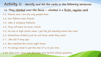**Activity 1: Identify and list the verbs in the following sentences**

**i.e. They climbed over the fence – climbed is a finite, regular verb** 1.1. Sharon and I are the only people here.

- 1.2. Our fathers were friends.
- 1.3. Jabu is studying Medicine.
- 1.4. They will leave at seven o'clock.
- 1.5. He was in high school when I got the job teaching down the road.
- 1.6. Sometimes children just do not know what they want.
- 1.7. She did it long ago.
- 1.8. Ben watched the movie eight times.
- 1.9. He always tried to get the rest of us to join him.

1.10. Four men came into the shop and started asking questions.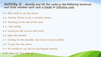**Activity 2: Identify and list the verbs in the following sentences and state whether each verb is Finite or Infinitive verb.**

2.1. Elize needs to see the doctor.

2.2. Charlize Theron is not a versatile actress.

2.3. Standing on the side of the road.

2.4. I like surfing.

2.5. Would you like to know the time?

2.6. Open the drawer!

2.7. Waiting for the plumber, she tried to remain patient.

2.8. To give him the choice.

2.9. He wanted to cry, but he was beyond emotion.

2.10. How can they help us?